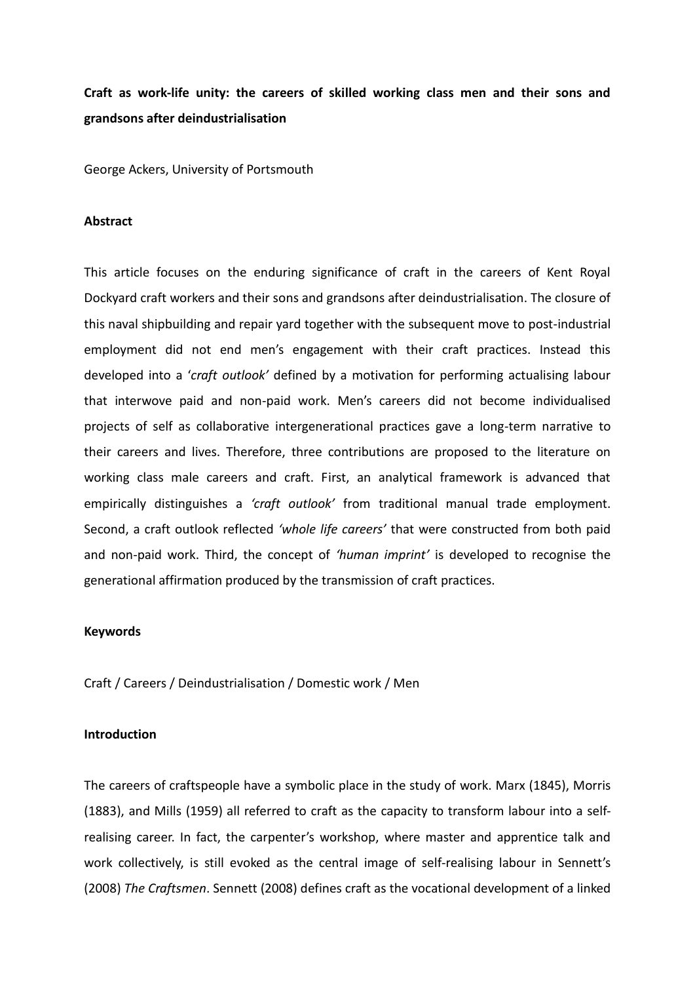**Craft as work-life unity: the careers of skilled working class men and their sons and grandsons after deindustrialisation**

George Ackers, University of Portsmouth

### **Abstract**

This article focuses on the enduring significance of craft in the careers of Kent Royal Dockyard craft workers and their sons and grandsons after deindustrialisation. The closure of this naval shipbuilding and repair yard together with the subsequent move to post-industrial employment did not end men's engagement with their craft practices. Instead this developed into a '*craft outlook'* defined by a motivation for performing actualising labour that interwove paid and non-paid work. Men's careers did not become individualised projects of self as collaborative intergenerational practices gave a long-term narrative to their careers and lives. Therefore, three contributions are proposed to the literature on working class male careers and craft. First, an analytical framework is advanced that empirically distinguishes a *'craft outlook'* from traditional manual trade employment. Second, a craft outlook reflected *'whole life careers'* that were constructed from both paid and non-paid work. Third, the concept of *'human imprint'* is developed to recognise the generational affirmation produced by the transmission of craft practices.

# **Keywords**

Craft / Careers / Deindustrialisation / Domestic work / Men

### **Introduction**

The careers of craftspeople have a symbolic place in the study of work. Marx (1845), Morris (1883), and Mills (1959) all referred to craft as the capacity to transform labour into a selfrealising career. In fact, the carpenter's workshop, where master and apprentice talk and work collectively, is still evoked as the central image of self-realising labour in Sennett's (2008) *The Craftsmen*. Sennett (2008) defines craft as the vocational development of a linked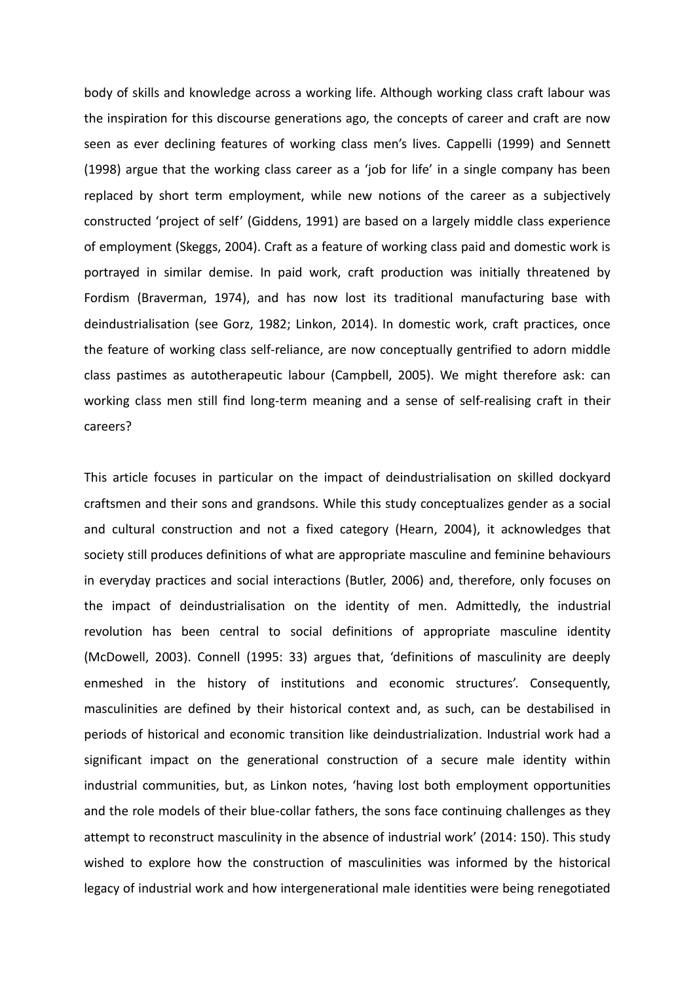body of skills and knowledge across a working life. Although working class craft labour was the inspiration for this discourse generations ago, the concepts of career and craft are now seen as ever declining features of working class men's lives. Cappelli (1999) and Sennett (1998) argue that the working class career as a 'job for life' in a single company has been replaced by short term employment, while new notions of the career as a subjectively constructed 'project of self' (Giddens, 1991) are based on a largely middle class experience of employment (Skeggs, 2004). Craft as a feature of working class paid and domestic work is portrayed in similar demise. In paid work, craft production was initially threatened by Fordism (Braverman, 1974), and has now lost its traditional manufacturing base with deindustrialisation (see Gorz, 1982; Linkon, 2014). In domestic work, craft practices, once the feature of working class self-reliance, are now conceptually gentrified to adorn middle class pastimes as autotherapeutic labour (Campbell, 2005). We might therefore ask: can working class men still find long-term meaning and a sense of self-realising craft in their careers?

This article focuses in particular on the impact of deindustrialisation on skilled dockyard craftsmen and their sons and grandsons. While this study conceptualizes gender as a social and cultural construction and not a fixed category (Hearn, 2004), it acknowledges that society still produces definitions of what are appropriate masculine and feminine behaviours in everyday practices and social interactions (Butler, 2006) and, therefore, only focuses on the impact of deindustrialisation on the identity of men. Admittedly, the industrial revolution has been central to social definitions of appropriate masculine identity (McDowell, 2003). Connell (1995: 33) argues that, 'definitions of masculinity are deeply enmeshed in the history of institutions and economic structures'. Consequently, masculinities are defined by their historical context and, as such, can be destabilised in periods of historical and economic transition like deindustrialization. Industrial work had a significant impact on the generational construction of a secure male identity within industrial communities, but, as Linkon notes, 'having lost both employment opportunities and the role models of their blue-collar fathers, the sons face continuing challenges as they attempt to reconstruct masculinity in the absence of industrial work' (2014: 150). This study wished to explore how the construction of masculinities was informed by the historical legacy of industrial work and how intergenerational male identities were being renegotiated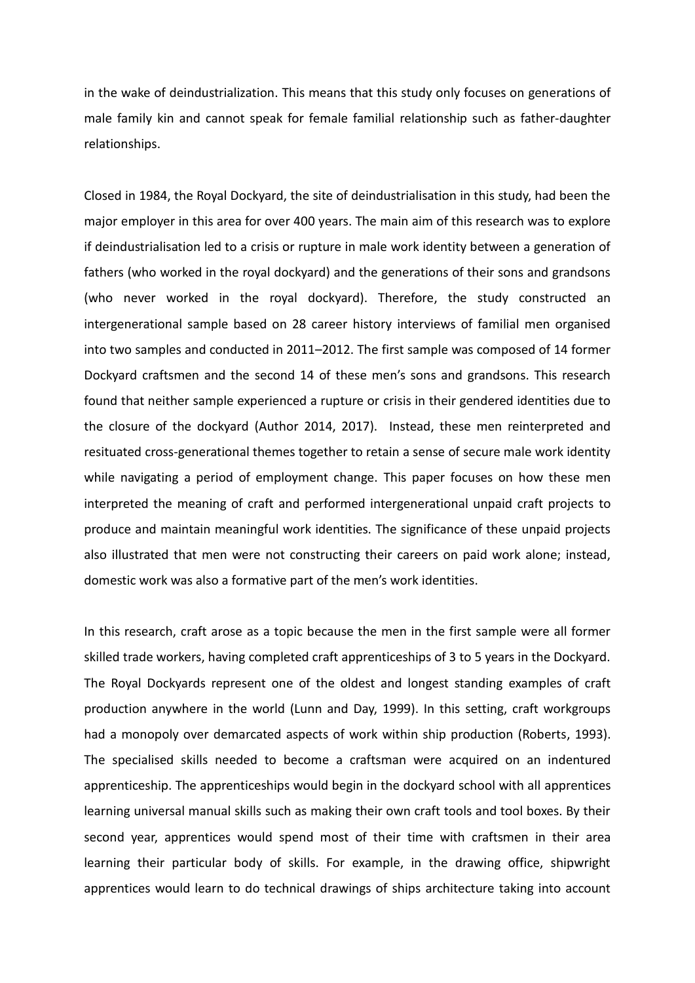in the wake of deindustrialization. This means that this study only focuses on generations of male family kin and cannot speak for female familial relationship such as father-daughter relationships.

Closed in 1984, the Royal Dockyard, the site of deindustrialisation in this study, had been the major employer in this area for over 400 years. The main aim of this research was to explore if deindustrialisation led to a crisis or rupture in male work identity between a generation of fathers (who worked in the royal dockyard) and the generations of their sons and grandsons (who never worked in the royal dockyard). Therefore, the study constructed an intergenerational sample based on 28 career history interviews of familial men organised into two samples and conducted in 2011–2012. The first sample was composed of 14 former Dockyard craftsmen and the second 14 of these men's sons and grandsons. This research found that neither sample experienced a rupture or crisis in their gendered identities due to the closure of the dockyard (Author 2014, 2017). Instead, these men reinterpreted and resituated cross-generational themes together to retain a sense of secure male work identity while navigating a period of employment change. This paper focuses on how these men interpreted the meaning of craft and performed intergenerational unpaid craft projects to produce and maintain meaningful work identities. The significance of these unpaid projects also illustrated that men were not constructing their careers on paid work alone; instead, domestic work was also a formative part of the men's work identities.

In this research, craft arose as a topic because the men in the first sample were all former skilled trade workers, having completed craft apprenticeships of 3 to 5 years in the Dockyard. The Royal Dockyards represent one of the oldest and longest standing examples of craft production anywhere in the world (Lunn and Day, 1999). In this setting, craft workgroups had a monopoly over demarcated aspects of work within ship production (Roberts, 1993). The specialised skills needed to become a craftsman were acquired on an indentured apprenticeship. The apprenticeships would begin in the dockyard school with all apprentices learning universal manual skills such as making their own craft tools and tool boxes. By their second year, apprentices would spend most of their time with craftsmen in their area learning their particular body of skills. For example, in the drawing office, shipwright apprentices would learn to do technical drawings of ships architecture taking into account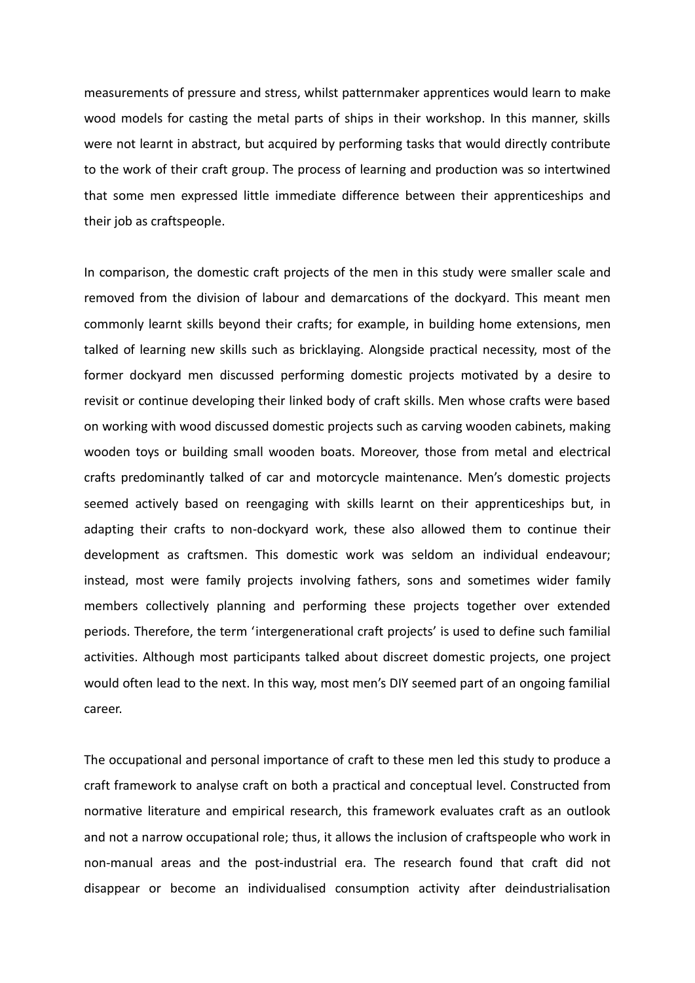measurements of pressure and stress, whilst patternmaker apprentices would learn to make wood models for casting the metal parts of ships in their workshop. In this manner, skills were not learnt in abstract, but acquired by performing tasks that would directly contribute to the work of their craft group. The process of learning and production was so intertwined that some men expressed little immediate difference between their apprenticeships and their job as craftspeople.

In comparison, the domestic craft projects of the men in this study were smaller scale and removed from the division of labour and demarcations of the dockyard. This meant men commonly learnt skills beyond their crafts; for example, in building home extensions, men talked of learning new skills such as bricklaying. Alongside practical necessity, most of the former dockyard men discussed performing domestic projects motivated by a desire to revisit or continue developing their linked body of craft skills. Men whose crafts were based on working with wood discussed domestic projects such as carving wooden cabinets, making wooden toys or building small wooden boats. Moreover, those from metal and electrical crafts predominantly talked of car and motorcycle maintenance. Men's domestic projects seemed actively based on reengaging with skills learnt on their apprenticeships but, in adapting their crafts to non-dockyard work, these also allowed them to continue their development as craftsmen. This domestic work was seldom an individual endeavour; instead, most were family projects involving fathers, sons and sometimes wider family members collectively planning and performing these projects together over extended periods. Therefore, the term 'intergenerational craft projects' is used to define such familial activities. Although most participants talked about discreet domestic projects, one project would often lead to the next. In this way, most men's DIY seemed part of an ongoing familial career.

The occupational and personal importance of craft to these men led this study to produce a craft framework to analyse craft on both a practical and conceptual level. Constructed from normative literature and empirical research, this framework evaluates craft as an outlook and not a narrow occupational role; thus, it allows the inclusion of craftspeople who work in non-manual areas and the post-industrial era. The research found that craft did not disappear or become an individualised consumption activity after deindustrialisation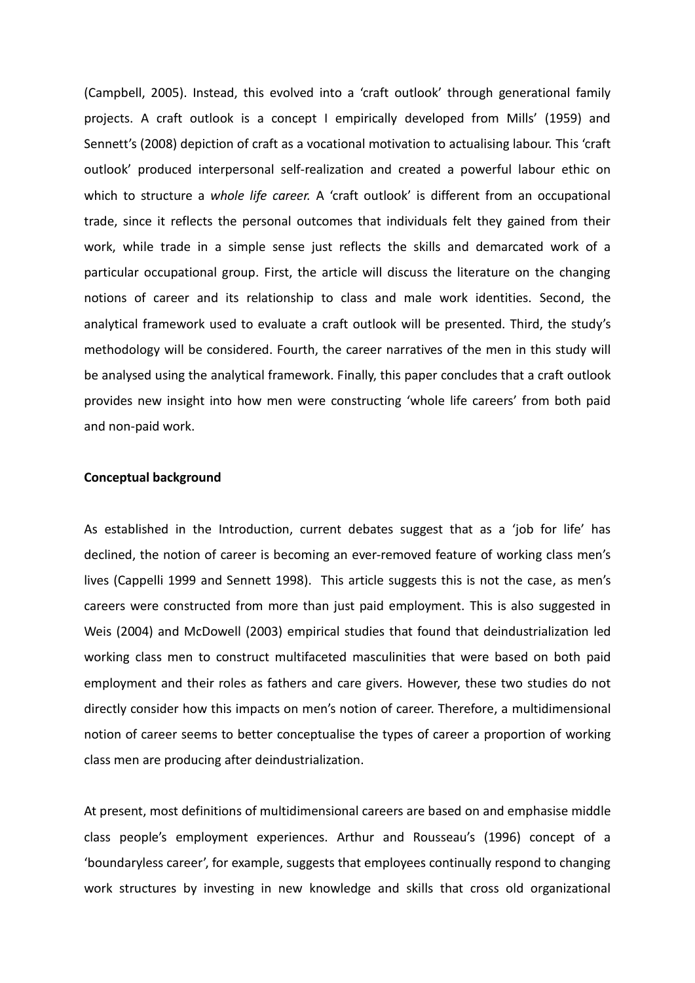(Campbell, 2005). Instead, this evolved into a 'craft outlook' through generational family projects. A craft outlook is a concept I empirically developed from Mills' (1959) and Sennett's (2008) depiction of craft as a vocational motivation to actualising labour. This 'craft outlook' produced interpersonal self-realization and created a powerful labour ethic on which to structure a *whole life career.* A 'craft outlook' is different from an occupational trade, since it reflects the personal outcomes that individuals felt they gained from their work, while trade in a simple sense just reflects the skills and demarcated work of a particular occupational group. First, the article will discuss the literature on the changing notions of career and its relationship to class and male work identities. Second, the analytical framework used to evaluate a craft outlook will be presented. Third, the study's methodology will be considered. Fourth, the career narratives of the men in this study will be analysed using the analytical framework. Finally, this paper concludes that a craft outlook provides new insight into how men were constructing 'whole life careers' from both paid and non-paid work.

# **Conceptual background**

As established in the Introduction, current debates suggest that as a 'job for life' has declined, the notion of career is becoming an ever-removed feature of working class men's lives (Cappelli 1999 and Sennett 1998). This article suggests this is not the case, as men's careers were constructed from more than just paid employment. This is also suggested in Weis (2004) and McDowell (2003) empirical studies that found that deindustrialization led working class men to construct multifaceted masculinities that were based on both paid employment and their roles as fathers and care givers. However, these two studies do not directly consider how this impacts on men's notion of career. Therefore, a multidimensional notion of career seems to better conceptualise the types of career a proportion of working class men are producing after deindustrialization.

At present, most definitions of multidimensional careers are based on and emphasise middle class people's employment experiences. Arthur and Rousseau's (1996) concept of a 'boundaryless career', for example, suggests that employees continually respond to changing work structures by investing in new knowledge and skills that cross old organizational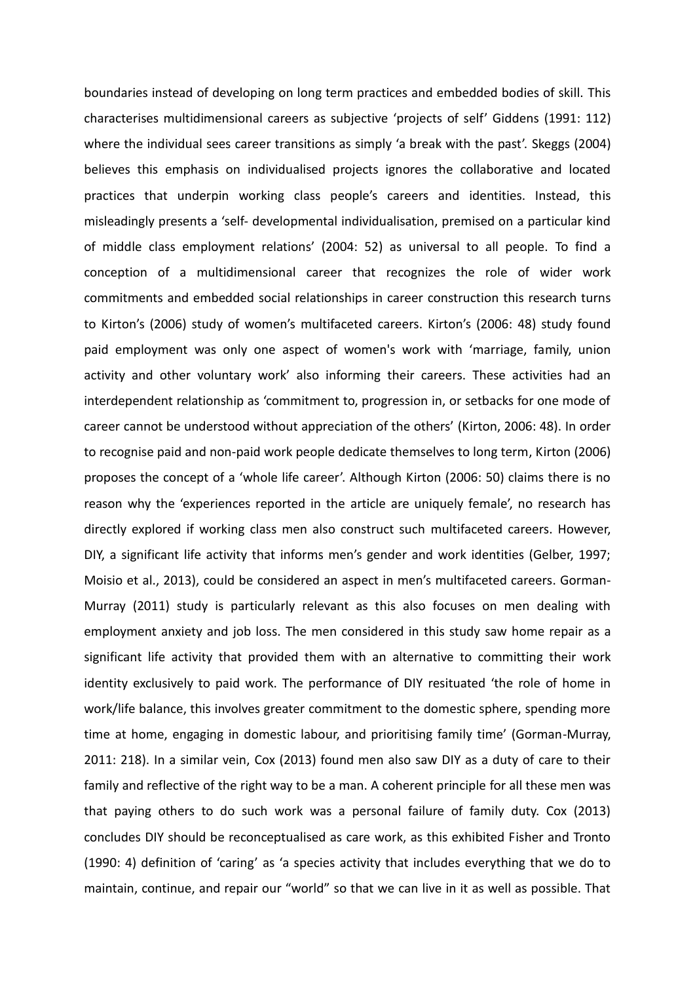boundaries instead of developing on long term practices and embedded bodies of skill. This characterises multidimensional careers as subjective 'projects of self' Giddens (1991: 112) where the individual sees career transitions as simply 'a break with the past'. Skeggs (2004) believes this emphasis on individualised projects ignores the collaborative and located practices that underpin working class people's careers and identities. Instead, this misleadingly presents a 'self- developmental individualisation, premised on a particular kind of middle class employment relations' (2004: 52) as universal to all people. To find a conception of a multidimensional career that recognizes the role of wider work commitments and embedded social relationships in career construction this research turns to Kirton's (2006) study of women's multifaceted careers. Kirton's (2006: 48) study found paid employment was only one aspect of women's work with 'marriage, family, union activity and other voluntary work' also informing their careers. These activities had an interdependent relationship as 'commitment to, progression in, or setbacks for one mode of career cannot be understood without appreciation of the others' (Kirton, 2006: 48). In order to recognise paid and non-paid work people dedicate themselves to long term, Kirton (2006) proposes the concept of a 'whole life career'. Although Kirton (2006: 50) claims there is no reason why the 'experiences reported in the article are uniquely female', no research has directly explored if working class men also construct such multifaceted careers. However, DIY, a significant life activity that informs men's gender and work identities (Gelber, 1997; Moisio et al., 2013), could be considered an aspect in men's multifaceted careers. Gorman-Murray (2011) study is particularly relevant as this also focuses on men dealing with employment anxiety and job loss. The men considered in this study saw home repair as a significant life activity that provided them with an alternative to committing their work identity exclusively to paid work. The performance of DIY resituated 'the role of home in work/life balance, this involves greater commitment to the domestic sphere, spending more time at home, engaging in domestic labour, and prioritising family time' (Gorman-Murray, 2011: 218). In a similar vein, Cox (2013) found men also saw DIY as a duty of care to their family and reflective of the right way to be a man. A coherent principle for all these men was that paying others to do such work was a personal failure of family duty. Cox (2013) concludes DIY should be reconceptualised as care work, as this exhibited Fisher and Tronto (1990: 4) definition of 'caring' as 'a species activity that includes everything that we do to maintain, continue, and repair our "world" so that we can live in it as well as possible. That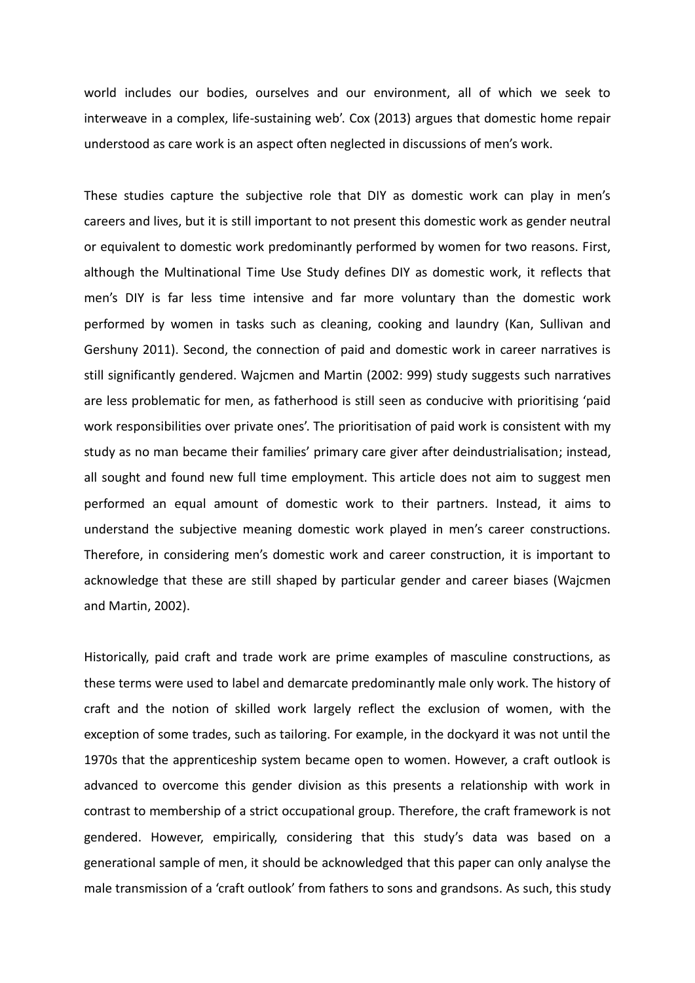world includes our bodies, ourselves and our environment, all of which we seek to interweave in a complex, life-sustaining web'. Cox (2013) argues that domestic home repair understood as care work is an aspect often neglected in discussions of men's work.

These studies capture the subjective role that DIY as domestic work can play in men's careers and lives, but it is still important to not present this domestic work as gender neutral or equivalent to domestic work predominantly performed by women for two reasons. First, although the Multinational Time Use Study defines DIY as domestic work, it reflects that men's DIY is far less time intensive and far more voluntary than the domestic work performed by women in tasks such as cleaning, cooking and laundry (Kan, Sullivan and Gershuny 2011). Second, the connection of paid and domestic work in career narratives is still significantly gendered. Wajcmen and Martin (2002: 999) study suggests such narratives are less problematic for men, as fatherhood is still seen as conducive with prioritising 'paid work responsibilities over private ones'. The prioritisation of paid work is consistent with my study as no man became their families' primary care giver after deindustrialisation; instead, all sought and found new full time employment. This article does not aim to suggest men performed an equal amount of domestic work to their partners. Instead, it aims to understand the subjective meaning domestic work played in men's career constructions. Therefore, in considering men's domestic work and career construction, it is important to acknowledge that these are still shaped by particular gender and career biases (Wajcmen and Martin, 2002).

Historically, paid craft and trade work are prime examples of masculine constructions, as these terms were used to label and demarcate predominantly male only work. The history of craft and the notion of skilled work largely reflect the exclusion of women, with the exception of some trades, such as tailoring. For example, in the dockyard it was not until the 1970s that the apprenticeship system became open to women. However, a craft outlook is advanced to overcome this gender division as this presents a relationship with work in contrast to membership of a strict occupational group. Therefore, the craft framework is not gendered. However, empirically, considering that this study's data was based on a generational sample of men, it should be acknowledged that this paper can only analyse the male transmission of a 'craft outlook' from fathers to sons and grandsons. As such, this study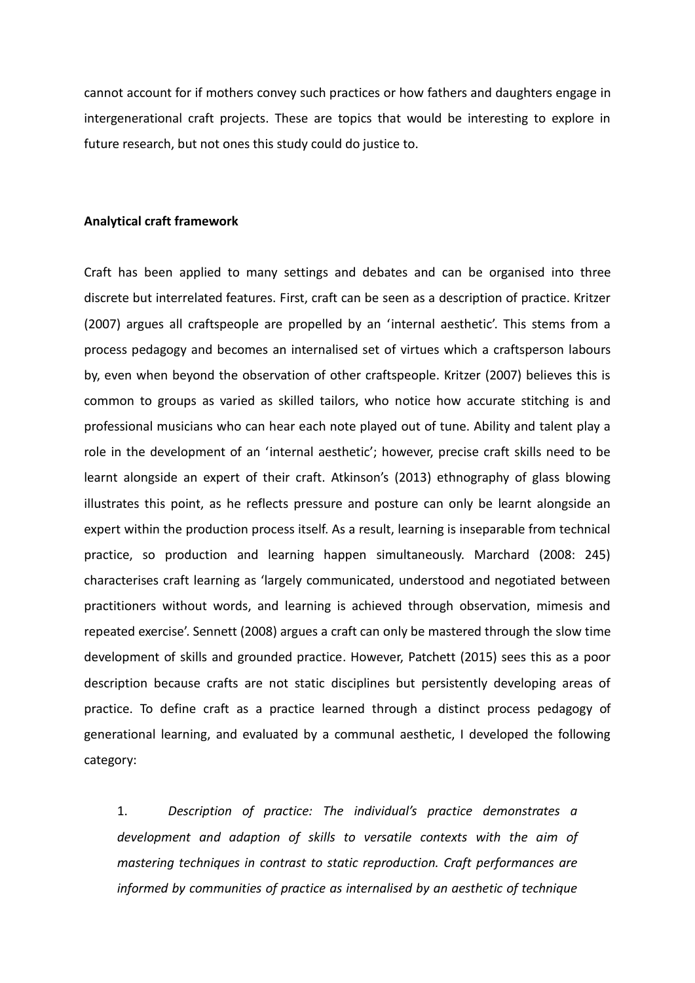cannot account for if mothers convey such practices or how fathers and daughters engage in intergenerational craft projects. These are topics that would be interesting to explore in future research, but not ones this study could do justice to.

#### **Analytical craft framework**

Craft has been applied to many settings and debates and can be organised into three discrete but interrelated features. First, craft can be seen as a description of practice. Kritzer (2007) argues all craftspeople are propelled by an 'internal aesthetic'. This stems from a process pedagogy and becomes an internalised set of virtues which a craftsperson labours by, even when beyond the observation of other craftspeople. Kritzer (2007) believes this is common to groups as varied as skilled tailors, who notice how accurate stitching is and professional musicians who can hear each note played out of tune. Ability and talent play a role in the development of an 'internal aesthetic'; however, precise craft skills need to be learnt alongside an expert of their craft. Atkinson's (2013) ethnography of glass blowing illustrates this point, as he reflects pressure and posture can only be learnt alongside an expert within the production process itself. As a result, learning is inseparable from technical practice, so production and learning happen simultaneously. Marchard (2008: 245) characterises craft learning as 'largely communicated, understood and negotiated between practitioners without words, and learning is achieved through observation, mimesis and repeated exercise'. Sennett (2008) argues a craft can only be mastered through the slow time development of skills and grounded practice. However, Patchett (2015) sees this as a poor description because crafts are not static disciplines but persistently developing areas of practice. To define craft as a practice learned through a distinct process pedagogy of generational learning, and evaluated by a communal aesthetic, I developed the following category:

1. *Description of practice: The individual's practice demonstrates a development and adaption of skills to versatile contexts with the aim of mastering techniques in contrast to static reproduction. Craft performances are informed by communities of practice as internalised by an aesthetic of technique*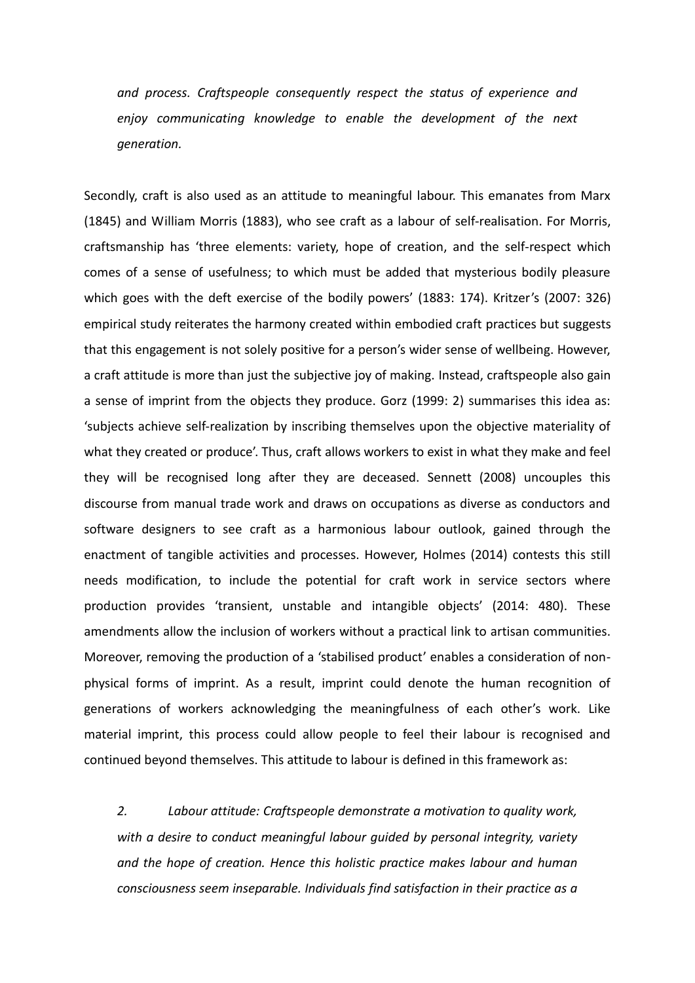*and process. Craftspeople consequently respect the status of experience and enjoy communicating knowledge to enable the development of the next generation.*

Secondly, craft is also used as an attitude to meaningful labour. This emanates from Marx (1845) and William Morris (1883), who see craft as a labour of self-realisation. For Morris, craftsmanship has 'three elements: variety, hope of creation, and the self-respect which comes of a sense of usefulness; to which must be added that mysterious bodily pleasure which goes with the deft exercise of the bodily powers' (1883: 174). Kritzer's (2007: 326) empirical study reiterates the harmony created within embodied craft practices but suggests that this engagement is not solely positive for a person's wider sense of wellbeing. However, a craft attitude is more than just the subjective joy of making. Instead, craftspeople also gain a sense of imprint from the objects they produce. Gorz (1999: 2) summarises this idea as: 'subjects achieve self-realization by inscribing themselves upon the objective materiality of what they created or produce'. Thus, craft allows workers to exist in what they make and feel they will be recognised long after they are deceased. Sennett (2008) uncouples this discourse from manual trade work and draws on occupations as diverse as conductors and software designers to see craft as a harmonious labour outlook, gained through the enactment of tangible activities and processes. However, Holmes (2014) contests this still needs modification, to include the potential for craft work in service sectors where production provides 'transient, unstable and intangible objects' (2014: 480). These amendments allow the inclusion of workers without a practical link to artisan communities. Moreover, removing the production of a 'stabilised product' enables a consideration of nonphysical forms of imprint. As a result, imprint could denote the human recognition of generations of workers acknowledging the meaningfulness of each other's work. Like material imprint, this process could allow people to feel their labour is recognised and continued beyond themselves. This attitude to labour is defined in this framework as:

*2. Labour attitude: Craftspeople demonstrate a motivation to quality work, with a desire to conduct meaningful labour guided by personal integrity, variety and the hope of creation. Hence this holistic practice makes labour and human consciousness seem inseparable. Individuals find satisfaction in their practice as a*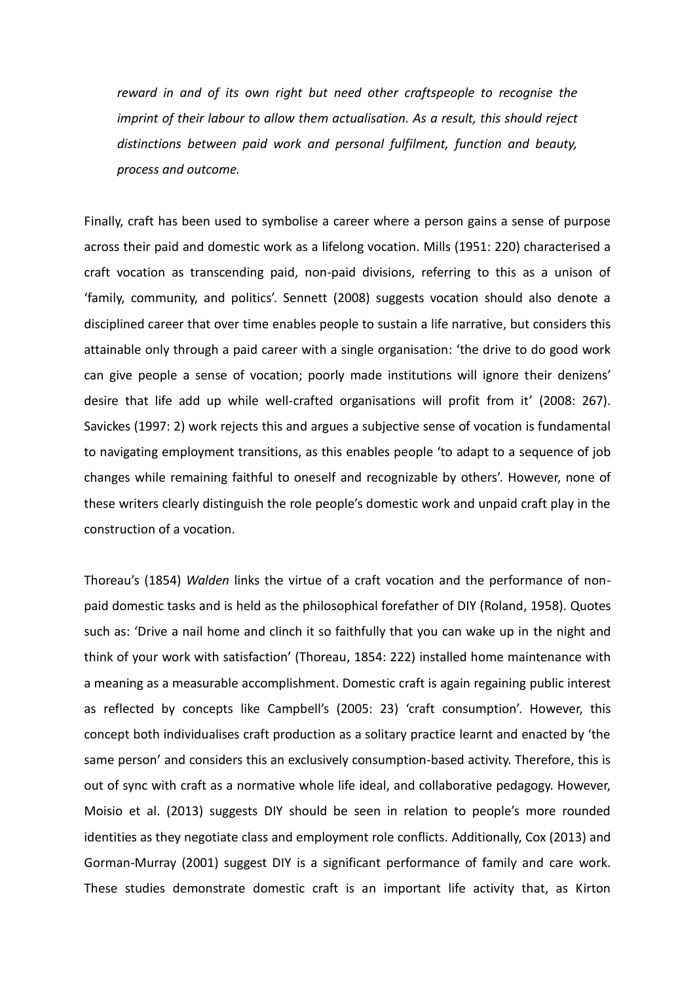*reward in and of its own right but need other craftspeople to recognise the imprint of their labour to allow them actualisation. As a result, this should reject distinctions between paid work and personal fulfilment, function and beauty, process and outcome.*

Finally, craft has been used to symbolise a career where a person gains a sense of purpose across their paid and domestic work as a lifelong vocation. Mills (1951: 220) characterised a craft vocation as transcending paid, non-paid divisions, referring to this as a unison of 'family, community, and politics'. Sennett (2008) suggests vocation should also denote a disciplined career that over time enables people to sustain a life narrative, but considers this attainable only through a paid career with a single organisation: 'the drive to do good work can give people a sense of vocation; poorly made institutions will ignore their denizens' desire that life add up while well-crafted organisations will profit from it' (2008: 267). Savickes (1997: 2) work rejects this and argues a subjective sense of vocation is fundamental to navigating employment transitions, as this enables people 'to adapt to a sequence of job changes while remaining faithful to oneself and recognizable by others'. However, none of these writers clearly distinguish the role people's domestic work and unpaid craft play in the construction of a vocation.

Thoreau's (1854) *Walden* links the virtue of a craft vocation and the performance of nonpaid domestic tasks and is held as the philosophical forefather of DIY (Roland, 1958). Quotes such as: 'Drive a nail home and clinch it so faithfully that you can wake up in the night and think of your work with satisfaction' (Thoreau, 1854: 222) installed home maintenance with a meaning as a measurable accomplishment. Domestic craft is again regaining public interest as reflected by concepts like Campbell's (2005: 23) 'craft consumption'. However, this concept both individualises craft production as a solitary practice learnt and enacted by 'the same person' and considers this an exclusively consumption-based activity. Therefore, this is out of sync with craft as a normative whole life ideal, and collaborative pedagogy. However, Moisio et al. (2013) suggests DIY should be seen in relation to people's more rounded identities as they negotiate class and employment role conflicts. Additionally, Cox (2013) and Gorman-Murray (2001) suggest DIY is a significant performance of family and care work. These studies demonstrate domestic craft is an important life activity that, as Kirton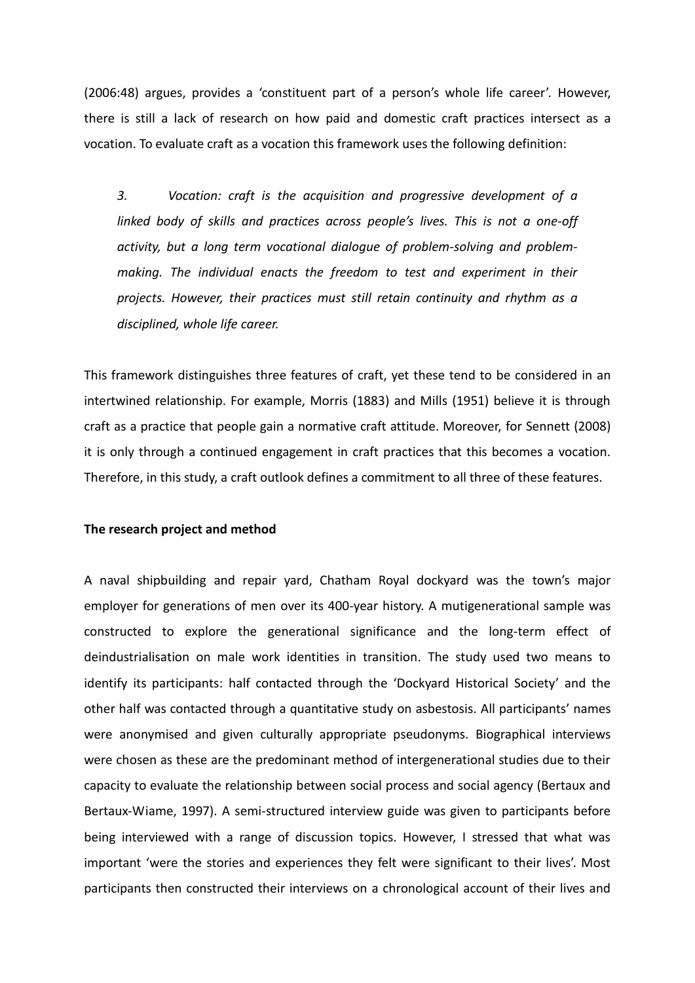(2006:48) argues, provides a 'constituent part of a person's whole life career'. However, there is still a lack of research on how paid and domestic craft practices intersect as a vocation. To evaluate craft as a vocation this framework uses the following definition:

*3. Vocation: craft is the acquisition and progressive development of a linked body of skills and practices across people's lives. This is not a one-off activity, but a long term vocational dialogue of problem-solving and problemmaking. The individual enacts the freedom to test and experiment in their projects. However, their practices must still retain continuity and rhythm as a disciplined, whole life career.*

This framework distinguishes three features of craft, yet these tend to be considered in an intertwined relationship. For example, Morris (1883) and Mills (1951) believe it is through craft as a practice that people gain a normative craft attitude. Moreover, for Sennett (2008) it is only through a continued engagement in craft practices that this becomes a vocation. Therefore, in this study, a craft outlook defines a commitment to all three of these features.

### **The research project and method**

A naval shipbuilding and repair yard, Chatham Royal dockyard was the town's major employer for generations of men over its 400-year history. A mutigenerational sample was constructed to explore the generational significance and the long-term effect of deindustrialisation on male work identities in transition. The study used two means to identify its participants: half contacted through the 'Dockyard Historical Society' and the other half was contacted through a quantitative study on asbestosis. All participants' names were anonymised and given culturally appropriate pseudonyms. Biographical interviews were chosen as these are the predominant method of intergenerational studies due to their capacity to evaluate the relationship between social process and social agency (Bertaux and Bertaux-Wiame, 1997). A semi-structured interview guide was given to participants before being interviewed with a range of discussion topics. However, I stressed that what was important 'were the stories and experiences they felt were significant to their lives'. Most participants then constructed their interviews on a chronological account of their lives and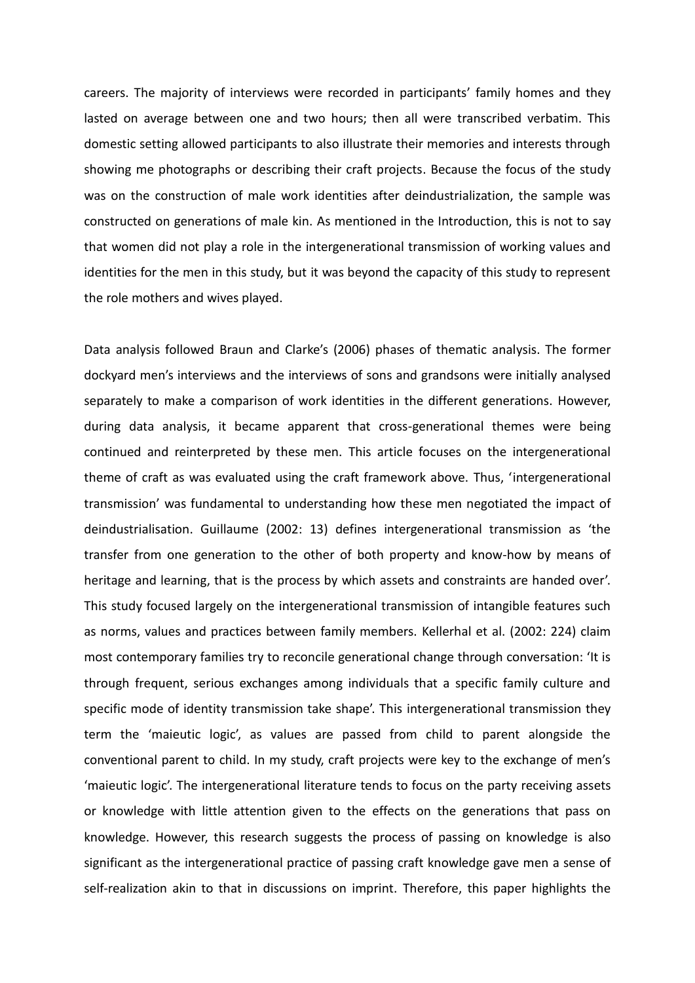careers. The majority of interviews were recorded in participants' family homes and they lasted on average between one and two hours; then all were transcribed verbatim. This domestic setting allowed participants to also illustrate their memories and interests through showing me photographs or describing their craft projects. Because the focus of the study was on the construction of male work identities after deindustrialization, the sample was constructed on generations of male kin. As mentioned in the Introduction, this is not to say that women did not play a role in the intergenerational transmission of working values and identities for the men in this study, but it was beyond the capacity of this study to represent the role mothers and wives played.

Data analysis followed Braun and Clarke's (2006) phases of thematic analysis. The former dockyard men's interviews and the interviews of sons and grandsons were initially analysed separately to make a comparison of work identities in the different generations. However, during data analysis, it became apparent that cross-generational themes were being continued and reinterpreted by these men. This article focuses on the intergenerational theme of craft as was evaluated using the craft framework above. Thus, 'intergenerational transmission' was fundamental to understanding how these men negotiated the impact of deindustrialisation. Guillaume (2002: 13) defines intergenerational transmission as 'the transfer from one generation to the other of both property and know-how by means of heritage and learning, that is the process by which assets and constraints are handed over'. This study focused largely on the intergenerational transmission of intangible features such as norms, values and practices between family members. Kellerhal et al. (2002: 224) claim most contemporary families try to reconcile generational change through conversation: 'It is through frequent, serious exchanges among individuals that a specific family culture and specific mode of identity transmission take shape'. This intergenerational transmission they term the 'maieutic logic', as values are passed from child to parent alongside the conventional parent to child. In my study, craft projects were key to the exchange of men's 'maieutic logic'. The intergenerational literature tends to focus on the party receiving assets or knowledge with little attention given to the effects on the generations that pass on knowledge. However, this research suggests the process of passing on knowledge is also significant as the intergenerational practice of passing craft knowledge gave men a sense of self-realization akin to that in discussions on imprint. Therefore, this paper highlights the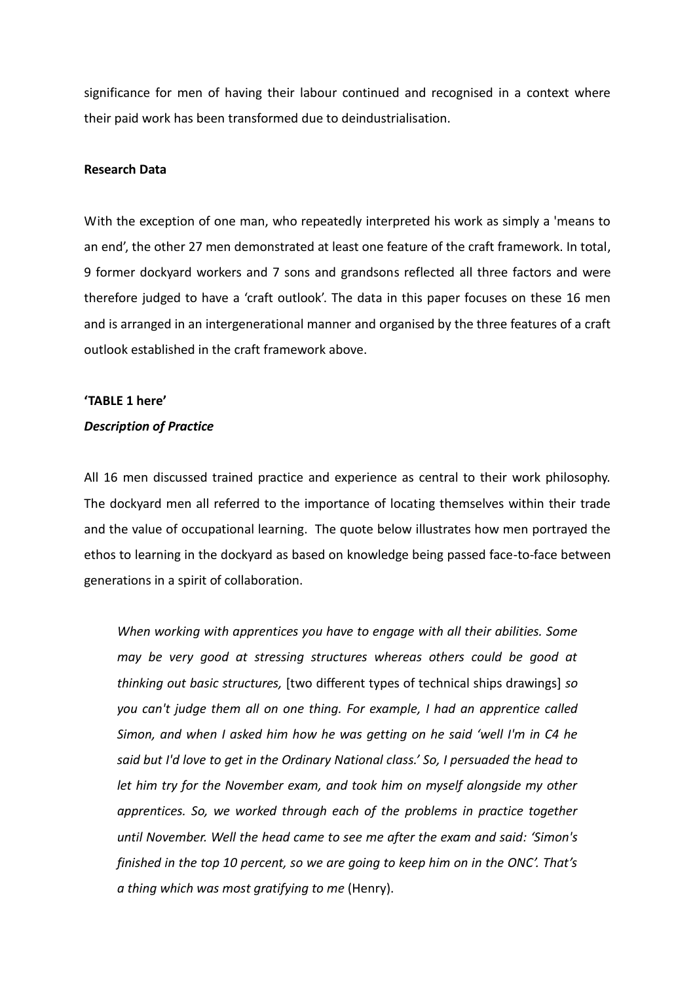significance for men of having their labour continued and recognised in a context where their paid work has been transformed due to deindustrialisation.

### **Research Data**

With the exception of one man, who repeatedly interpreted his work as simply a 'means to an end', the other 27 men demonstrated at least one feature of the craft framework. In total, 9 former dockyard workers and 7 sons and grandsons reflected all three factors and were therefore judged to have a 'craft outlook'. The data in this paper focuses on these 16 men and is arranged in an intergenerational manner and organised by the three features of a craft outlook established in the craft framework above.

# **'TABLE 1 here'**

# *Description of Practice*

All 16 men discussed trained practice and experience as central to their work philosophy. The dockyard men all referred to the importance of locating themselves within their trade and the value of occupational learning. The quote below illustrates how men portrayed the ethos to learning in the dockyard as based on knowledge being passed face-to-face between generations in a spirit of collaboration.

*When working with apprentices you have to engage with all their abilities. Some may be very good at stressing structures whereas others could be good at thinking out basic structures,* [two different types of technical ships drawings] *so you can't judge them all on one thing. For example, I had an apprentice called Simon, and when I asked him how he was getting on he said 'well I'm in C4 he said but I'd love to get in the Ordinary National class.' So, I persuaded the head to let him try for the November exam, and took him on myself alongside my other apprentices. So, we worked through each of the problems in practice together until November. Well the head came to see me after the exam and said: 'Simon's finished in the top 10 percent, so we are going to keep him on in the ONC'. That's a thing which was most gratifying to me* (Henry).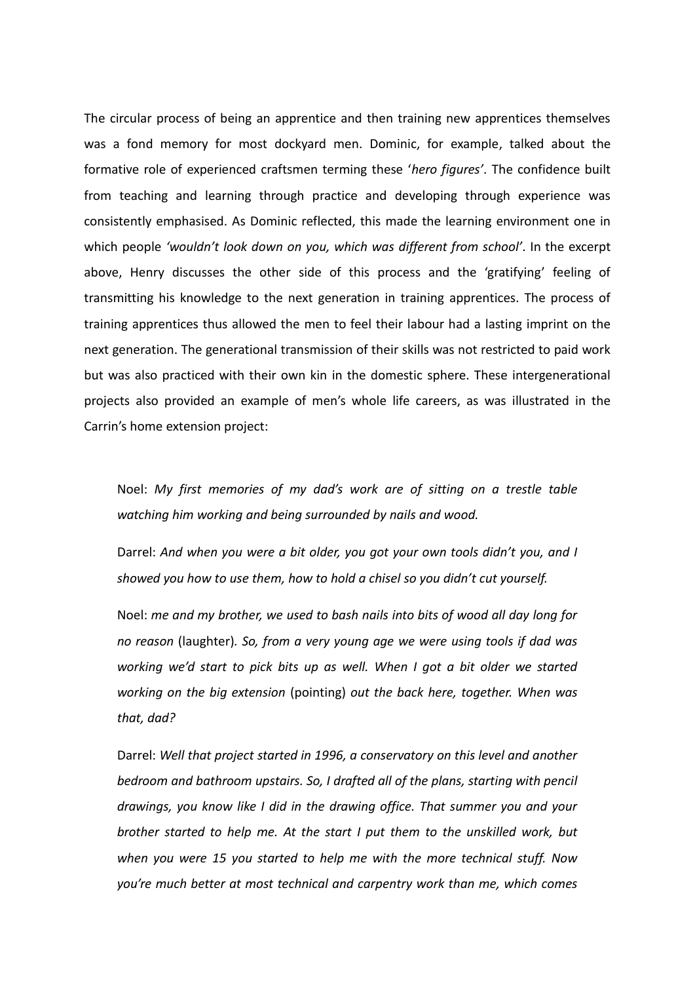The circular process of being an apprentice and then training new apprentices themselves was a fond memory for most dockyard men. Dominic, for example, talked about the formative role of experienced craftsmen terming these '*hero figures'*. The confidence built from teaching and learning through practice and developing through experience was consistently emphasised. As Dominic reflected, this made the learning environment one in which people *'wouldn't look down on you, which was different from school'*. In the excerpt above, Henry discusses the other side of this process and the 'gratifying' feeling of transmitting his knowledge to the next generation in training apprentices. The process of training apprentices thus allowed the men to feel their labour had a lasting imprint on the next generation. The generational transmission of their skills was not restricted to paid work but was also practiced with their own kin in the domestic sphere. These intergenerational projects also provided an example of men's whole life careers, as was illustrated in the Carrin's home extension project:

Noel: *My first memories of my dad's work are of sitting on a trestle table watching him working and being surrounded by nails and wood.*

Darrel: *And when you were a bit older, you got your own tools didn't you, and I showed you how to use them, how to hold a chisel so you didn't cut yourself.*

Noel: *me and my brother, we used to bash nails into bits of wood all day long for no reason* (laughter)*. So, from a very young age we were using tools if dad was working we'd start to pick bits up as well. When I got a bit older we started working on the big extension* (pointing) *out the back here, together. When was that, dad?*

Darrel: *Well that project started in 1996, a conservatory on this level and another bedroom and bathroom upstairs. So, I drafted all of the plans, starting with pencil drawings, you know like I did in the drawing office. That summer you and your brother started to help me. At the start I put them to the unskilled work, but when you were 15 you started to help me with the more technical stuff. Now you're much better at most technical and carpentry work than me, which comes*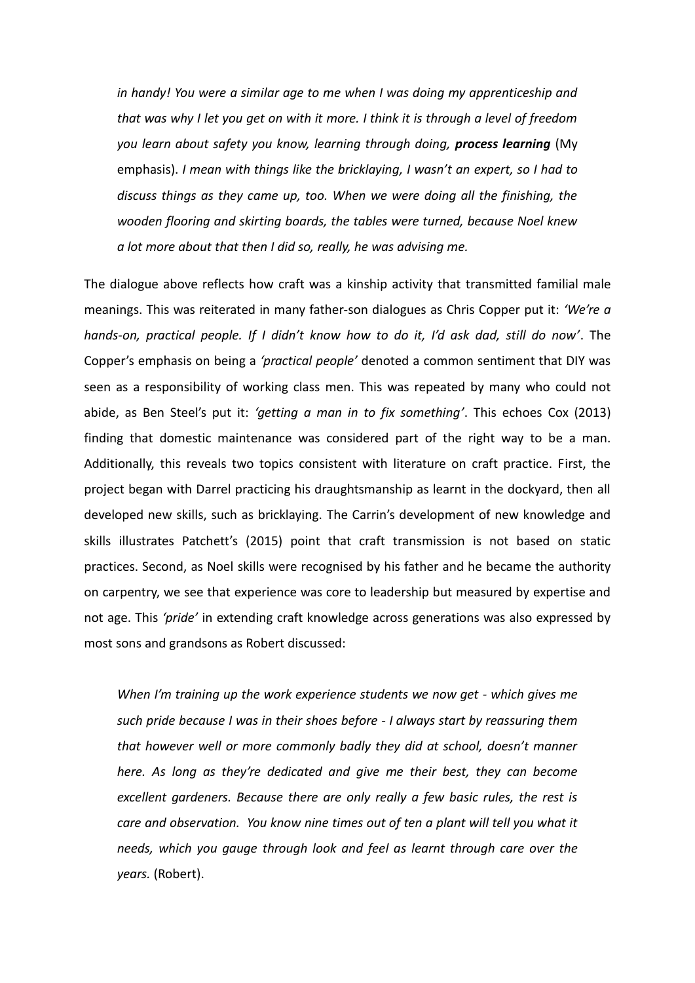*in handy! You were a similar age to me when I was doing my apprenticeship and that was why I let you get on with it more. I think it is through a level of freedom you learn about safety you know, learning through doing, process learning* (My emphasis). *I mean with things like the bricklaying, I wasn't an expert, so I had to discuss things as they came up, too. When we were doing all the finishing, the wooden flooring and skirting boards, the tables were turned, because Noel knew a lot more about that then I did so, really, he was advising me.*

The dialogue above reflects how craft was a kinship activity that transmitted familial male meanings. This was reiterated in many father-son dialogues as Chris Copper put it: *'We're a hands-on, practical people. If I didn't know how to do it, I'd ask dad, still do now'*. The Copper's emphasis on being a *'practical people'* denoted a common sentiment that DIY was seen as a responsibility of working class men. This was repeated by many who could not abide, as Ben Steel's put it: *'getting a man in to fix something'*. This echoes Cox (2013) finding that domestic maintenance was considered part of the right way to be a man. Additionally, this reveals two topics consistent with literature on craft practice. First, the project began with Darrel practicing his draughtsmanship as learnt in the dockyard, then all developed new skills, such as bricklaying. The Carrin's development of new knowledge and skills illustrates Patchett's (2015) point that craft transmission is not based on static practices. Second, as Noel skills were recognised by his father and he became the authority on carpentry, we see that experience was core to leadership but measured by expertise and not age. This *'pride'* in extending craft knowledge across generations was also expressed by most sons and grandsons as Robert discussed:

*When I'm training up the work experience students we now get - which gives me such pride because I was in their shoes before - I always start by reassuring them that however well or more commonly badly they did at school, doesn't manner here. As long as they're dedicated and give me their best, they can become excellent gardeners. Because there are only really a few basic rules, the rest is care and observation. You know nine times out of ten a plant will tell you what it needs, which you gauge through look and feel as learnt through care over the years.* (Robert).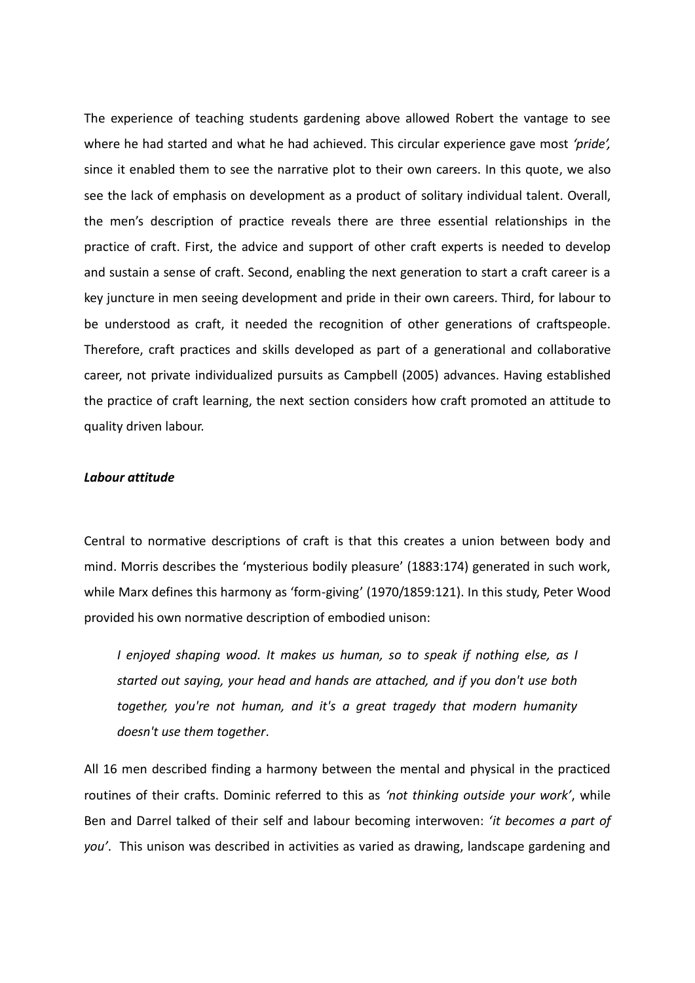The experience of teaching students gardening above allowed Robert the vantage to see where he had started and what he had achieved. This circular experience gave most *'pride',* since it enabled them to see the narrative plot to their own careers. In this quote, we also see the lack of emphasis on development as a product of solitary individual talent. Overall, the men's description of practice reveals there are three essential relationships in the practice of craft. First, the advice and support of other craft experts is needed to develop and sustain a sense of craft. Second, enabling the next generation to start a craft career is a key juncture in men seeing development and pride in their own careers. Third, for labour to be understood as craft, it needed the recognition of other generations of craftspeople. Therefore, craft practices and skills developed as part of a generational and collaborative career, not private individualized pursuits as Campbell (2005) advances. Having established the practice of craft learning, the next section considers how craft promoted an attitude to quality driven labour.

# *Labour attitude*

Central to normative descriptions of craft is that this creates a union between body and mind. Morris describes the 'mysterious bodily pleasure' (1883:174) generated in such work, while Marx defines this harmony as 'form-giving' (1970/1859:121). In this study, Peter Wood provided his own normative description of embodied unison:

*I enjoyed shaping wood. It makes us human, so to speak if nothing else, as I started out saying, your head and hands are attached, and if you don't use both together, you're not human, and it's a great tragedy that modern humanity doesn't use them together*.

All 16 men described finding a harmony between the mental and physical in the practiced routines of their crafts. Dominic referred to this as *'not thinking outside your work'*, while Ben and Darrel talked of their self and labour becoming interwoven: *'it becomes a part of you'*. This unison was described in activities as varied as drawing, landscape gardening and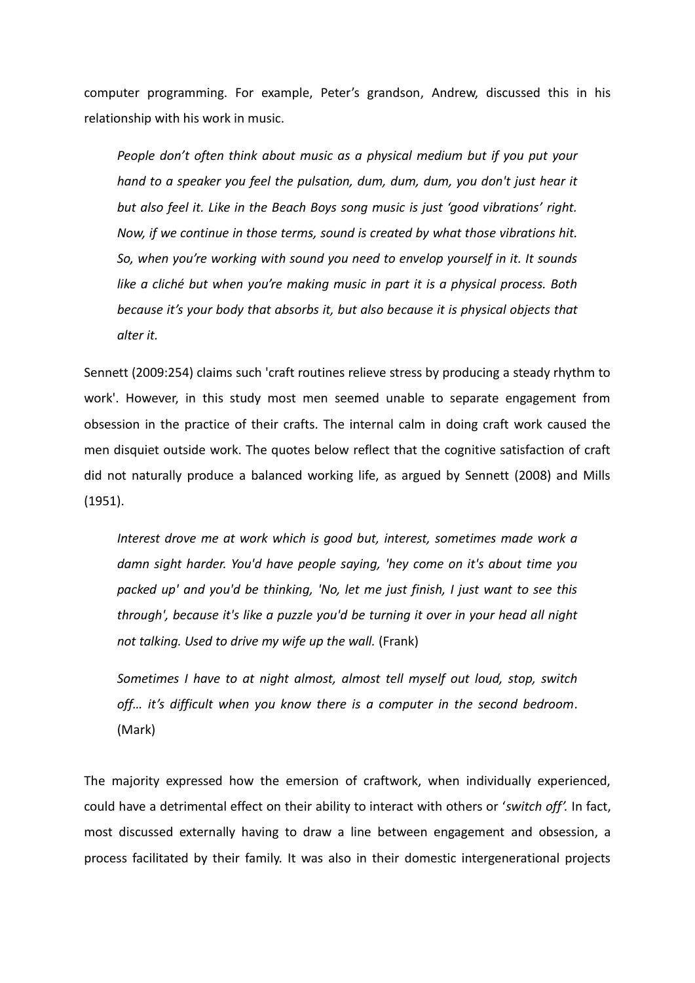computer programming. For example, Peter's grandson, Andrew, discussed this in his relationship with his work in music.

*People don't often think about music as a physical medium but if you put your hand to a speaker you feel the pulsation, dum, dum, dum, you don't just hear it but also feel it. Like in the Beach Boys song music is just 'good vibrations' right. Now, if we continue in those terms, sound is created by what those vibrations hit. So, when you're working with sound you need to envelop yourself in it. It sounds like a cliché but when you're making music in part it is a physical process. Both because it's your body that absorbs it, but also because it is physical objects that alter it.*

Sennett (2009:254) claims such 'craft routines relieve stress by producing a steady rhythm to work'. However, in this study most men seemed unable to separate engagement from obsession in the practice of their crafts. The internal calm in doing craft work caused the men disquiet outside work. The quotes below reflect that the cognitive satisfaction of craft did not naturally produce a balanced working life, as argued by Sennett (2008) and Mills (1951).

*Interest drove me at work which is good but, interest, sometimes made work a damn sight harder. You'd have people saying, 'hey come on it's about time you packed up' and you'd be thinking, 'No, let me just finish, I just want to see this through', because it's like a puzzle you'd be turning it over in your head all night not talking. Used to drive my wife up the wall.* (Frank)

*Sometimes I have to at night almost, almost tell myself out loud, stop, switch off… it's difficult when you know there is a computer in the second bedroom*. (Mark)

The majority expressed how the emersion of craftwork, when individually experienced, could have a detrimental effect on their ability to interact with others or '*switch off'.* In fact, most discussed externally having to draw a line between engagement and obsession, a process facilitated by their family. It was also in their domestic intergenerational projects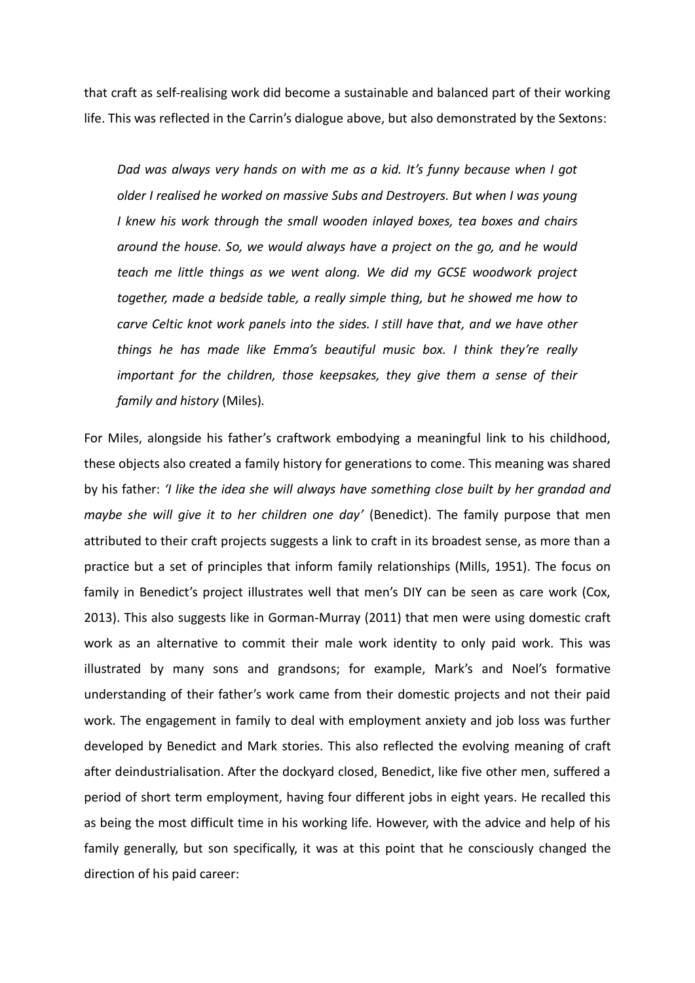that craft as self-realising work did become a sustainable and balanced part of their working life. This was reflected in the Carrin's dialogue above, but also demonstrated by the Sextons:

*Dad was always very hands on with me as a kid. It's funny because when I got older I realised he worked on massive Subs and Destroyers. But when I was young I knew his work through the small wooden inlayed boxes, tea boxes and chairs around the house. So, we would always have a project on the go, and he would teach me little things as we went along. We did my GCSE woodwork project together, made a bedside table, a really simple thing, but he showed me how to carve Celtic knot work panels into the sides. I still have that, and we have other things he has made like Emma's beautiful music box. I think they're really important for the children, those keepsakes, they give them a sense of their family and history* (Miles)*.*

For Miles, alongside his father's craftwork embodying a meaningful link to his childhood, these objects also created a family history for generations to come. This meaning was shared by his father: *'I like the idea she will always have something close built by her grandad and maybe she will give it to her children one day'* (Benedict). The family purpose that men attributed to their craft projects suggests a link to craft in its broadest sense, as more than a practice but a set of principles that inform family relationships (Mills, 1951). The focus on family in Benedict's project illustrates well that men's DIY can be seen as care work (Cox, 2013). This also suggests like in Gorman-Murray (2011) that men were using domestic craft work as an alternative to commit their male work identity to only paid work. This was illustrated by many sons and grandsons; for example, Mark's and Noel's formative understanding of their father's work came from their domestic projects and not their paid work. The engagement in family to deal with employment anxiety and job loss was further developed by Benedict and Mark stories. This also reflected the evolving meaning of craft after deindustrialisation. After the dockyard closed, Benedict, like five other men, suffered a period of short term employment, having four different jobs in eight years. He recalled this as being the most difficult time in his working life. However, with the advice and help of his family generally, but son specifically, it was at this point that he consciously changed the direction of his paid career: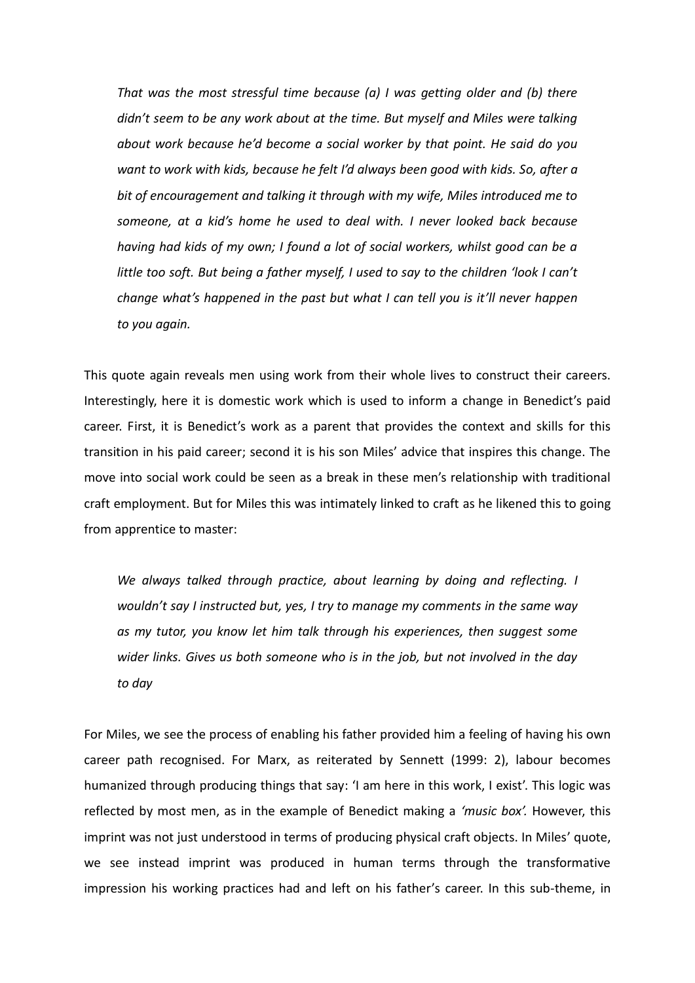*That was the most stressful time because (a) I was getting older and (b) there didn't seem to be any work about at the time. But myself and Miles were talking about work because he'd become a social worker by that point. He said do you want to work with kids, because he felt I'd always been good with kids. So, after a bit of encouragement and talking it through with my wife, Miles introduced me to someone, at a kid's home he used to deal with. I never looked back because having had kids of my own; I found a lot of social workers, whilst good can be a little too soft. But being a father myself, I used to say to the children 'look I can't change what's happened in the past but what I can tell you is it'll never happen to you again.*

This quote again reveals men using work from their whole lives to construct their careers. Interestingly, here it is domestic work which is used to inform a change in Benedict's paid career. First, it is Benedict's work as a parent that provides the context and skills for this transition in his paid career; second it is his son Miles' advice that inspires this change. The move into social work could be seen as a break in these men's relationship with traditional craft employment. But for Miles this was intimately linked to craft as he likened this to going from apprentice to master:

*We always talked through practice, about learning by doing and reflecting. I wouldn't say I instructed but, yes, I try to manage my comments in the same way as my tutor, you know let him talk through his experiences, then suggest some wider links. Gives us both someone who is in the job, but not involved in the day to day* 

For Miles, we see the process of enabling his father provided him a feeling of having his own career path recognised. For Marx, as reiterated by Sennett (1999: 2), labour becomes humanized through producing things that say: 'I am here in this work, I exist'. This logic was reflected by most men, as in the example of Benedict making a *'music box'.* However, this imprint was not just understood in terms of producing physical craft objects. In Miles' quote, we see instead imprint was produced in human terms through the transformative impression his working practices had and left on his father's career. In this sub-theme, in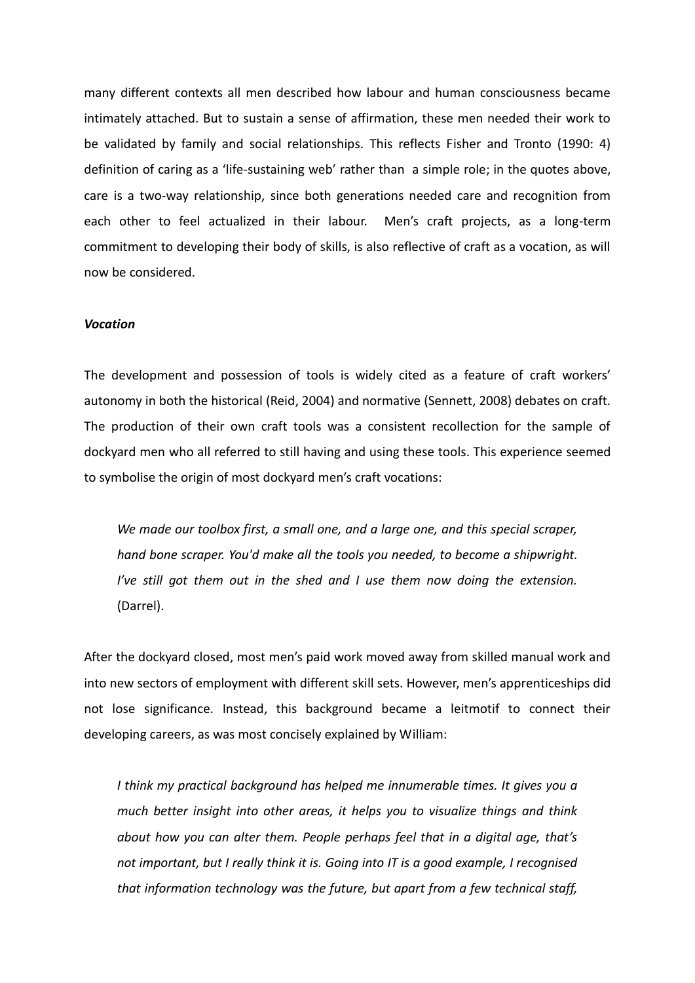many different contexts all men described how labour and human consciousness became intimately attached. But to sustain a sense of affirmation, these men needed their work to be validated by family and social relationships. This reflects Fisher and Tronto (1990: 4) definition of caring as a 'life-sustaining web' rather than a simple role; in the quotes above, care is a two-way relationship, since both generations needed care and recognition from each other to feel actualized in their labour. Men's craft projects, as a long-term commitment to developing their body of skills, is also reflective of craft as a vocation, as will now be considered.

### *Vocation*

The development and possession of tools is widely cited as a feature of craft workers' autonomy in both the historical (Reid, 2004) and normative (Sennett, 2008) debates on craft. The production of their own craft tools was a consistent recollection for the sample of dockyard men who all referred to still having and using these tools. This experience seemed to symbolise the origin of most dockyard men's craft vocations:

*We made our toolbox first, a small one, and a large one, and this special scraper, hand bone scraper. You'd make all the tools you needed, to become a shipwright. I've still got them out in the shed and I use them now doing the extension.* (Darrel).

After the dockyard closed, most men's paid work moved away from skilled manual work and into new sectors of employment with different skill sets. However, men's apprenticeships did not lose significance. Instead, this background became a leitmotif to connect their developing careers, as was most concisely explained by William:

*I think my practical background has helped me innumerable times. It gives you a much better insight into other areas, it helps you to visualize things and think about how you can alter them. People perhaps feel that in a digital age, that's not important, but I really think it is. Going into IT is a good example, I recognised that information technology was the future, but apart from a few technical staff,*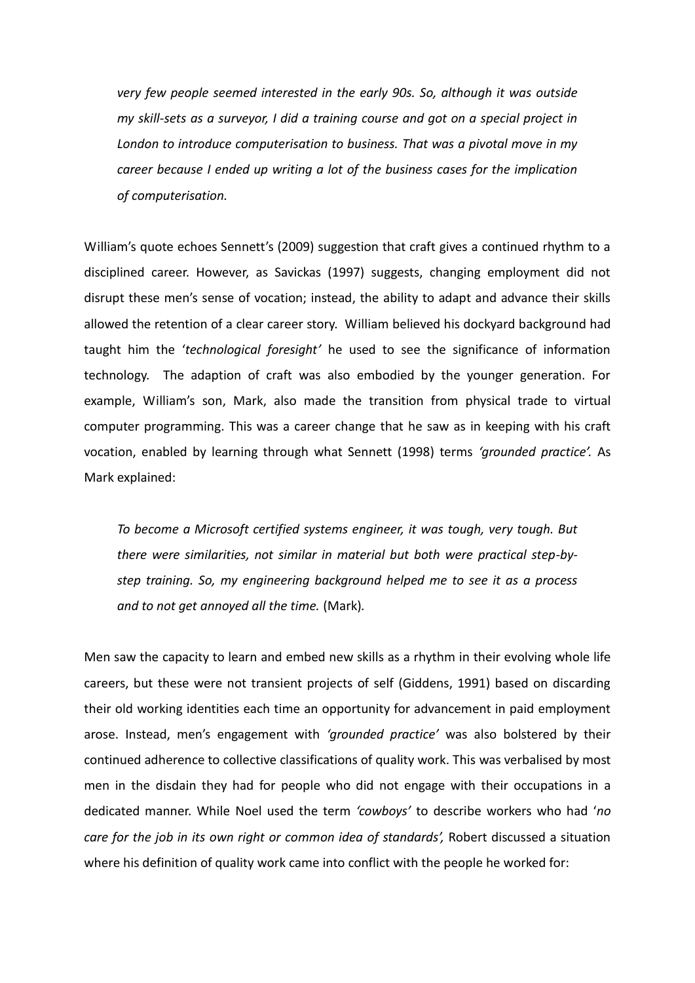*very few people seemed interested in the early 90s. So, although it was outside my skill-sets as a surveyor, I did a training course and got on a special project in London to introduce computerisation to business. That was a pivotal move in my career because I ended up writing a lot of the business cases for the implication of computerisation.*

William's quote echoes Sennett's (2009) suggestion that craft gives a continued rhythm to a disciplined career. However, as Savickas (1997) suggests, changing employment did not disrupt these men's sense of vocation; instead, the ability to adapt and advance their skills allowed the retention of a clear career story. William believed his dockyard background had taught him the '*technological foresight'* he used to see the significance of information technology. The adaption of craft was also embodied by the younger generation. For example, William's son, Mark, also made the transition from physical trade to virtual computer programming. This was a career change that he saw as in keeping with his craft vocation, enabled by learning through what Sennett (1998) terms *'grounded practice'.* As Mark explained:

*To become a Microsoft certified systems engineer, it was tough, very tough. But there were similarities, not similar in material but both were practical step-bystep training. So, my engineering background helped me to see it as a process and to not get annoyed all the time.* (Mark)*.*

Men saw the capacity to learn and embed new skills as a rhythm in their evolving whole life careers, but these were not transient projects of self (Giddens, 1991) based on discarding their old working identities each time an opportunity for advancement in paid employment arose. Instead, men's engagement with *'grounded practice'* was also bolstered by their continued adherence to collective classifications of quality work. This was verbalised by most men in the disdain they had for people who did not engage with their occupations in a dedicated manner. While Noel used the term *'cowboys'* to describe workers who had '*no care for the job in its own right or common idea of standards',* Robert discussed a situation where his definition of quality work came into conflict with the people he worked for: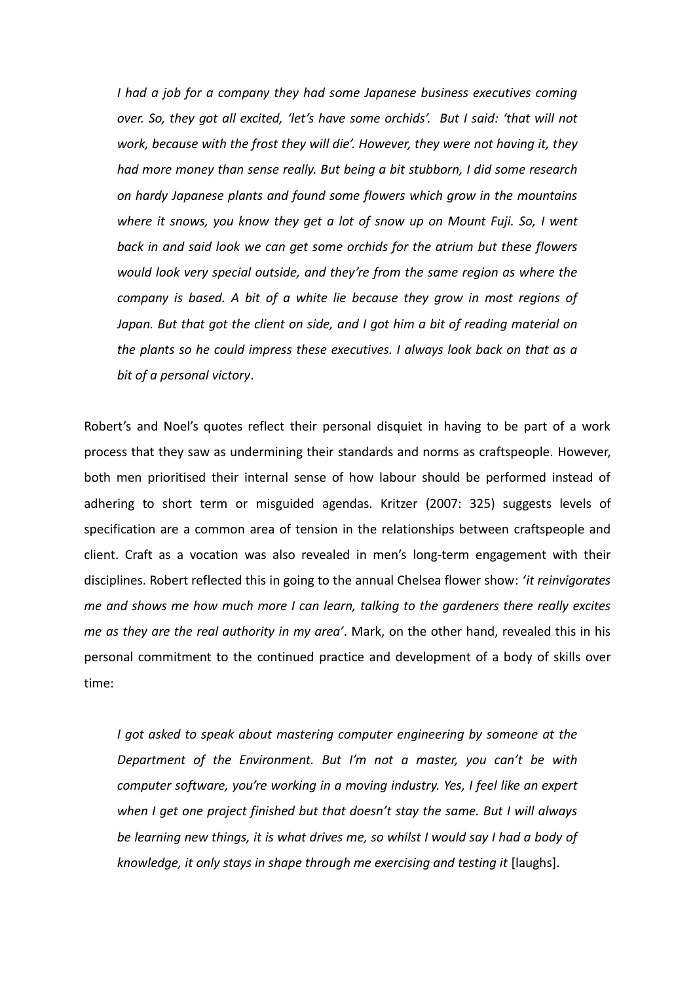*I had a job for a company they had some Japanese business executives coming over. So, they got all excited, 'let's have some orchids'. But I said: 'that will not work, because with the frost they will die'. However, they were not having it, they had more money than sense really. But being a bit stubborn, I did some research on hardy Japanese plants and found some flowers which grow in the mountains where it snows, you know they get a lot of snow up on Mount Fuji. So, I went back in and said look we can get some orchids for the atrium but these flowers would look very special outside, and they're from the same region as where the company is based. A bit of a white lie because they grow in most regions of Japan. But that got the client on side, and I got him a bit of reading material on the plants so he could impress these executives. I always look back on that as a bit of a personal victory*.

Robert's and Noel's quotes reflect their personal disquiet in having to be part of a work process that they saw as undermining their standards and norms as craftspeople. However, both men prioritised their internal sense of how labour should be performed instead of adhering to short term or misguided agendas. Kritzer (2007: 325) suggests levels of specification are a common area of tension in the relationships between craftspeople and client. Craft as a vocation was also revealed in men's long-term engagement with their disciplines. Robert reflected this in going to the annual Chelsea flower show: *'it reinvigorates me and shows me how much more I can learn, talking to the gardeners there really excites me as they are the real authority in my area'*. Mark, on the other hand, revealed this in his personal commitment to the continued practice and development of a body of skills over time:

*I got asked to speak about mastering computer engineering by someone at the Department of the Environment. But I'm not a master, you can't be with computer software, you're working in a moving industry. Yes, I feel like an expert when I get one project finished but that doesn't stay the same. But I will always be learning new things, it is what drives me, so whilst I would say I had a body of knowledge, it only stays in shape through me exercising and testing it* [laughs].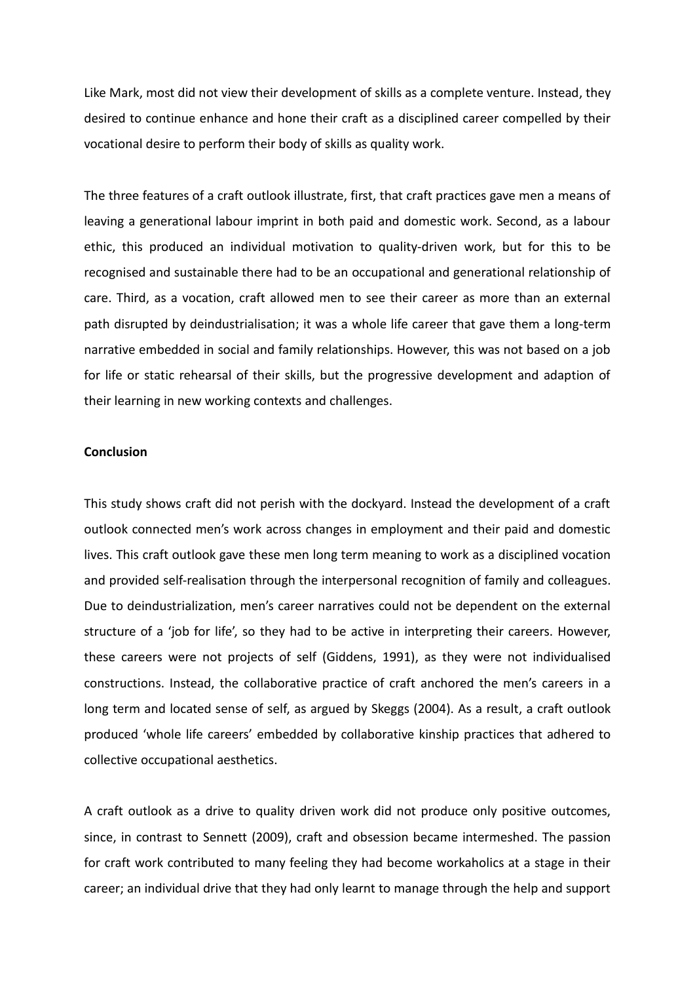Like Mark, most did not view their development of skills as a complete venture. Instead, they desired to continue enhance and hone their craft as a disciplined career compelled by their vocational desire to perform their body of skills as quality work.

The three features of a craft outlook illustrate, first, that craft practices gave men a means of leaving a generational labour imprint in both paid and domestic work. Second, as a labour ethic, this produced an individual motivation to quality-driven work, but for this to be recognised and sustainable there had to be an occupational and generational relationship of care. Third, as a vocation, craft allowed men to see their career as more than an external path disrupted by deindustrialisation; it was a whole life career that gave them a long-term narrative embedded in social and family relationships. However, this was not based on a job for life or static rehearsal of their skills, but the progressive development and adaption of their learning in new working contexts and challenges.

# **Conclusion**

This study shows craft did not perish with the dockyard. Instead the development of a craft outlook connected men's work across changes in employment and their paid and domestic lives. This craft outlook gave these men long term meaning to work as a disciplined vocation and provided self-realisation through the interpersonal recognition of family and colleagues. Due to deindustrialization, men's career narratives could not be dependent on the external structure of a 'job for life', so they had to be active in interpreting their careers. However, these careers were not projects of self (Giddens, 1991), as they were not individualised constructions. Instead, the collaborative practice of craft anchored the men's careers in a long term and located sense of self, as argued by Skeggs (2004). As a result, a craft outlook produced 'whole life careers' embedded by collaborative kinship practices that adhered to collective occupational aesthetics.

A craft outlook as a drive to quality driven work did not produce only positive outcomes, since, in contrast to Sennett (2009), craft and obsession became intermeshed. The passion for craft work contributed to many feeling they had become workaholics at a stage in their career; an individual drive that they had only learnt to manage through the help and support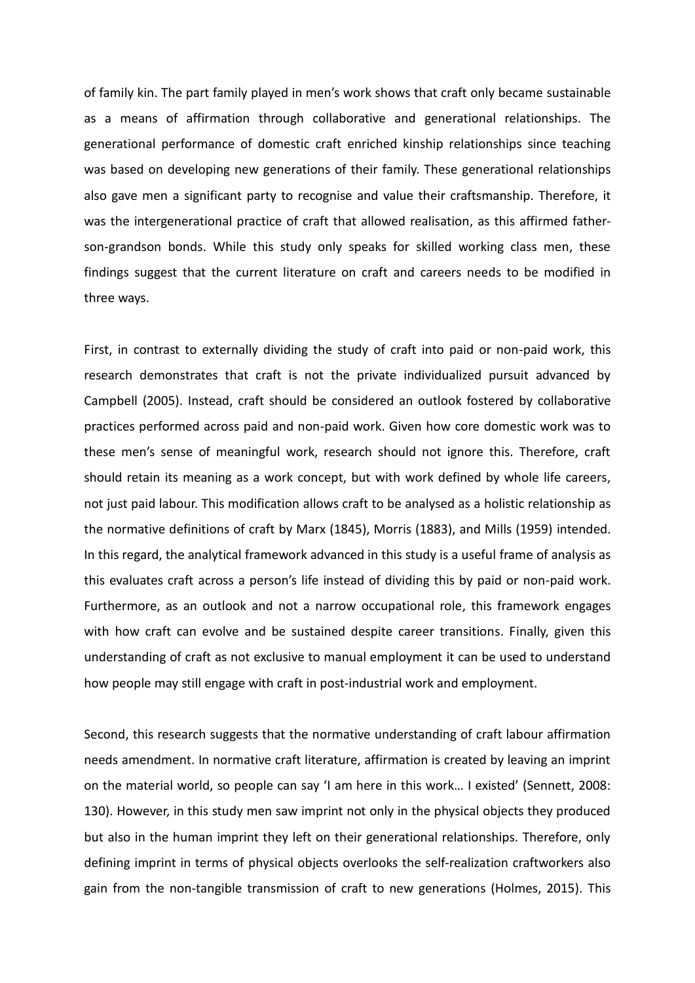of family kin. The part family played in men's work shows that craft only became sustainable as a means of affirmation through collaborative and generational relationships. The generational performance of domestic craft enriched kinship relationships since teaching was based on developing new generations of their family. These generational relationships also gave men a significant party to recognise and value their craftsmanship. Therefore, it was the intergenerational practice of craft that allowed realisation, as this affirmed fatherson-grandson bonds. While this study only speaks for skilled working class men, these findings suggest that the current literature on craft and careers needs to be modified in three ways.

First, in contrast to externally dividing the study of craft into paid or non-paid work, this research demonstrates that craft is not the private individualized pursuit advanced by Campbell (2005). Instead, craft should be considered an outlook fostered by collaborative practices performed across paid and non-paid work. Given how core domestic work was to these men's sense of meaningful work, research should not ignore this. Therefore, craft should retain its meaning as a work concept, but with work defined by whole life careers, not just paid labour. This modification allows craft to be analysed as a holistic relationship as the normative definitions of craft by Marx (1845), Morris (1883), and Mills (1959) intended. In this regard, the analytical framework advanced in this study is a useful frame of analysis as this evaluates craft across a person's life instead of dividing this by paid or non-paid work. Furthermore, as an outlook and not a narrow occupational role, this framework engages with how craft can evolve and be sustained despite career transitions. Finally, given this understanding of craft as not exclusive to manual employment it can be used to understand how people may still engage with craft in post-industrial work and employment.

Second, this research suggests that the normative understanding of craft labour affirmation needs amendment. In normative craft literature, affirmation is created by leaving an imprint on the material world, so people can say 'I am here in this work… I existed' (Sennett, 2008: 130). However, in this study men saw imprint not only in the physical objects they produced but also in the human imprint they left on their generational relationships. Therefore, only defining imprint in terms of physical objects overlooks the self-realization craftworkers also gain from the non-tangible transmission of craft to new generations (Holmes, 2015). This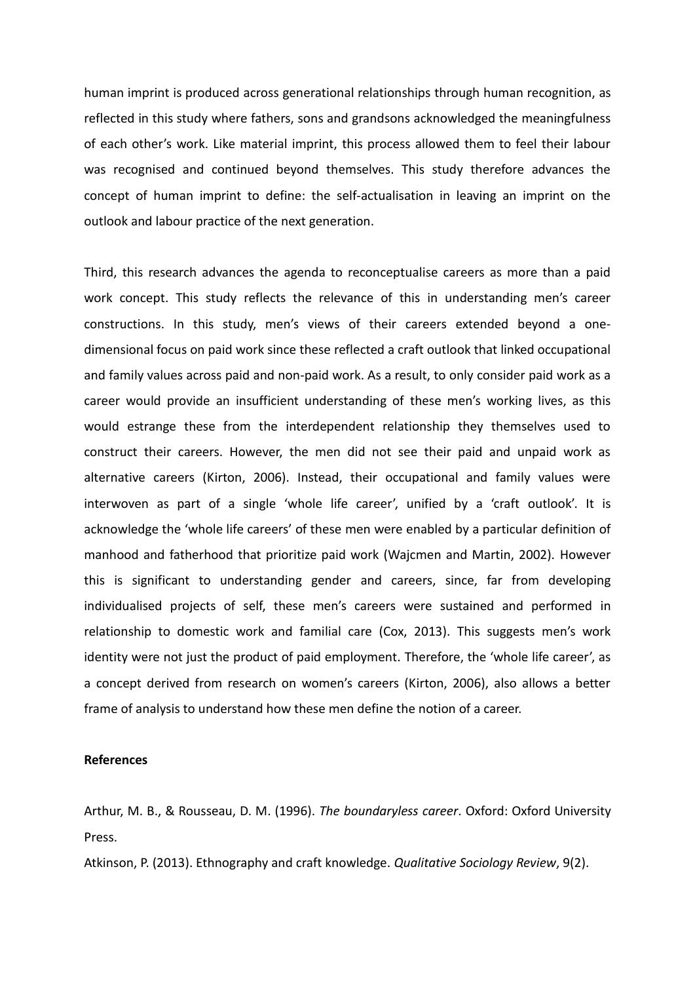human imprint is produced across generational relationships through human recognition, as reflected in this study where fathers, sons and grandsons acknowledged the meaningfulness of each other's work. Like material imprint, this process allowed them to feel their labour was recognised and continued beyond themselves. This study therefore advances the concept of human imprint to define: the self-actualisation in leaving an imprint on the outlook and labour practice of the next generation.

Third, this research advances the agenda to reconceptualise careers as more than a paid work concept. This study reflects the relevance of this in understanding men's career constructions. In this study, men's views of their careers extended beyond a onedimensional focus on paid work since these reflected a craft outlook that linked occupational and family values across paid and non-paid work. As a result, to only consider paid work as a career would provide an insufficient understanding of these men's working lives, as this would estrange these from the interdependent relationship they themselves used to construct their careers. However, the men did not see their paid and unpaid work as alternative careers (Kirton, 2006). Instead, their occupational and family values were interwoven as part of a single 'whole life career', unified by a 'craft outlook'. It is acknowledge the 'whole life careers' of these men were enabled by a particular definition of manhood and fatherhood that prioritize paid work (Wajcmen and Martin, 2002). However this is significant to understanding gender and careers, since, far from developing individualised projects of self, these men's careers were sustained and performed in relationship to domestic work and familial care (Cox, 2013). This suggests men's work identity were not just the product of paid employment. Therefore, the 'whole life career', as a concept derived from research on women's careers (Kirton, 2006), also allows a better frame of analysis to understand how these men define the notion of a career.

### **References**

Arthur, M. B., & Rousseau, D. M. (1996). *The boundaryless career*. Oxford: Oxford University Press.

Atkinson, P. (2013). Ethnography and craft knowledge. *Qualitative Sociology Review*, 9(2).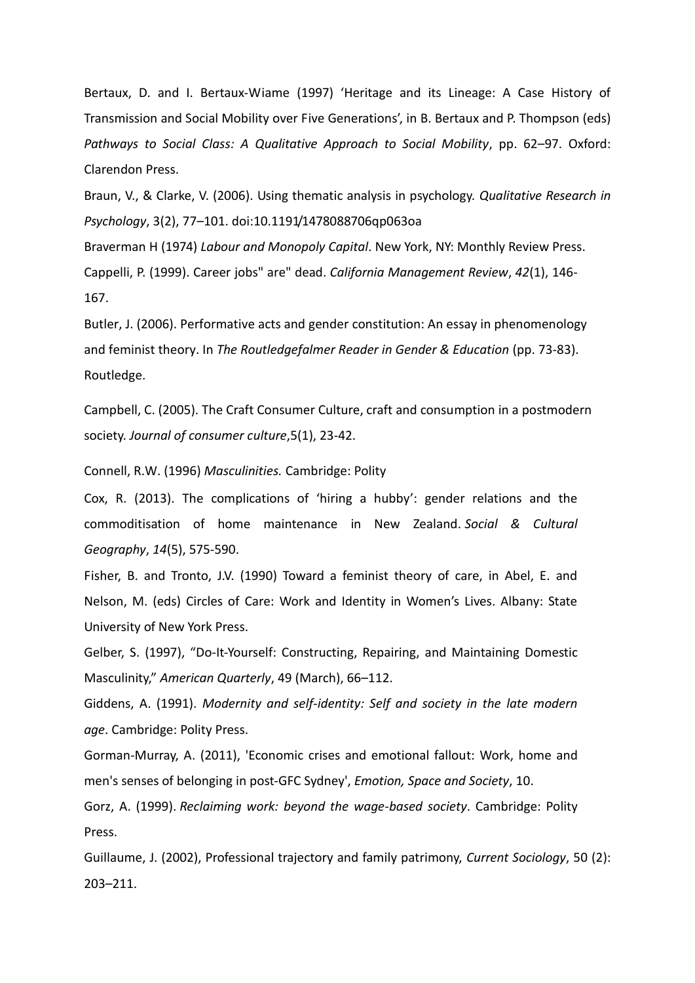Bertaux, D. and I. Bertaux-Wiame (1997) 'Heritage and its Lineage: A Case History of Transmission and Social Mobility over Five Generations', in B. Bertaux and P. Thompson (eds) *Pathways to Social Class: A Qualitative Approach to Social Mobility*, pp. 62–97. Oxford: Clarendon Press.

Braun, V., & Clarke, V. (2006). Using thematic analysis in psychology. *Qualitative Research in Psychology*, 3(2), 77–101. doi:10.1191/1478088706qp063oa

Braverman H (1974) *Labour and Monopoly Capital*. New York, NY: Monthly Review Press. Cappelli, P. (1999). Career jobs" are" dead. *California Management Review*, *42*(1), 146- 167.

Butler, J. (2006). Performative acts and gender constitution: An essay in phenomenology and feminist theory. In *The Routledgefalmer Reader in Gender & Education* (pp. 73-83). Routledge.

Campbell, C. (2005). The Craft Consumer Culture, craft and consumption in a postmodern society. *Journal of consumer culture*,5(1), 23-42.

Connell, R.W. (1996) *Masculinities.* Cambridge: Polity

Cox, R. (2013). The complications of 'hiring a hubby': gender relations and the commoditisation of home maintenance in New Zealand. *Social & Cultural Geography*, *14*(5), 575-590.

Fisher, B. and Tronto, J.V. (1990) Toward a feminist theory of care, in Abel, E. and Nelson, M. (eds) Circles of Care: Work and Identity in Women's Lives. Albany: State University of New York Press.

Gelber, S. (1997), "Do-It-Yourself: Constructing, Repairing, and Maintaining Domestic Masculinity," *American Quarterly*, 49 (March), 66–112.

Giddens, A. (1991). *Modernity and self-identity: Self and society in the late modern age*. Cambridge: Polity Press.

Gorman-Murray, A. (2011), 'Economic crises and emotional fallout: Work, home and men's senses of belonging in post-GFC Sydney', *Emotion, Space and Society*, 10.

Gorz, A. (1999). *Reclaiming work: beyond the wage-based society*. Cambridge: Polity Press.

Guillaume, J. (2002), Professional trajectory and family patrimony, *Current Sociology*, 50 (2): 203–211.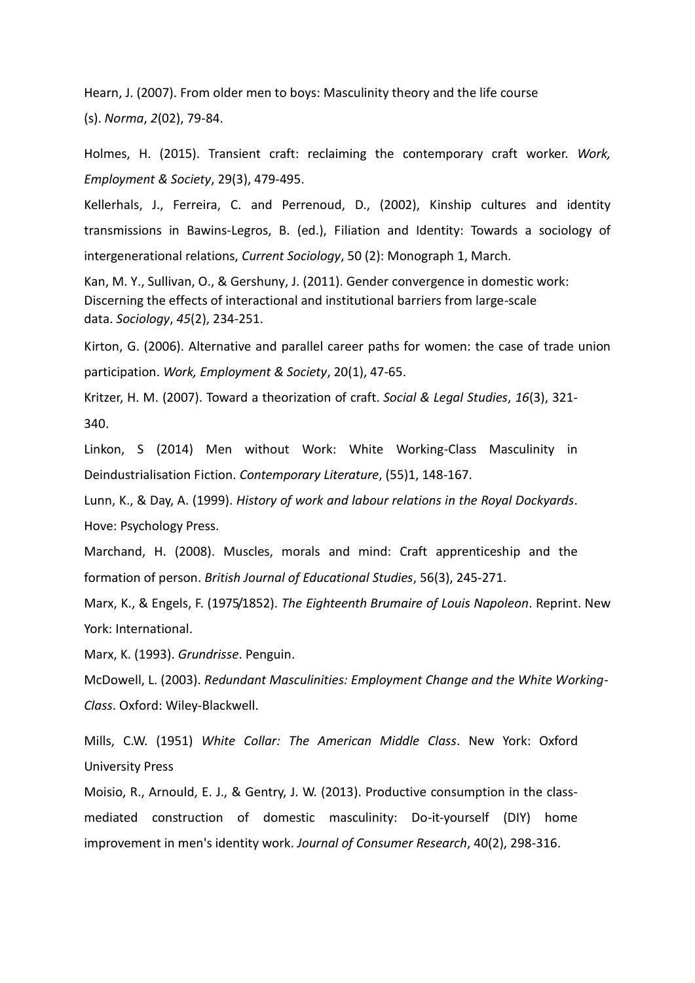Hearn, J. (2007). From older men to boys: Masculinity theory and the life course (s). *Norma*, *2*(02), 79-84.

Holmes, H. (2015). Transient craft: reclaiming the contemporary craft worker. *Work, Employment & Society*, 29(3), 479-495.

Kellerhals, J., Ferreira, C. and Perrenoud, D., (2002), Kinship cultures and identity transmissions in Bawins-Legros, B. (ed.), Filiation and Identity: Towards a sociology of intergenerational relations, *Current Sociology*, 50 (2): Monograph 1, March.

Kan, M. Y., Sullivan, O., & Gershuny, J. (2011). Gender convergence in domestic work: Discerning the effects of interactional and institutional barriers from large-scale data. *Sociology*, *45*(2), 234-251.

Kirton, G. (2006). Alternative and parallel career paths for women: the case of trade union participation. *Work, Employment & Society*, 20(1), 47-65.

Kritzer, H. M. (2007). Toward a theorization of craft. *Social & Legal Studies*, *16*(3), 321- 340.

Linkon, S (2014) Men without Work: White Working-Class Masculinity in Deindustrialisation Fiction. *Contemporary Literature*, (55)1, 148-167.

Lunn, K., & Day, A. (1999). *History of work and labour relations in the Royal Dockyards*. Hove: Psychology Press.

Marchand, H. (2008). Muscles, morals and mind: Craft apprenticeship and the formation of person. *British Journal of Educational Studies*, 56(3), 245-271.

Marx, K., & Engels, F. (1975/1852). *The Eighteenth Brumaire of Louis Napoleon*. Reprint. New York: International.

Marx, K. (1993). *Grundrisse*. Penguin.

McDowell, L. (2003). *Redundant Masculinities: Employment Change and the White Working-Class*. Oxford: Wiley-Blackwell.

Mills, C.W. (1951) *White Collar: The American Middle Class*. New York: Oxford University Press

Moisio, R., Arnould, E. J., & Gentry, J. W. (2013). Productive consumption in the classmediated construction of domestic masculinity: Do-it-yourself (DIY) home improvement in men's identity work. *Journal of Consumer Research*, 40(2), 298-316.